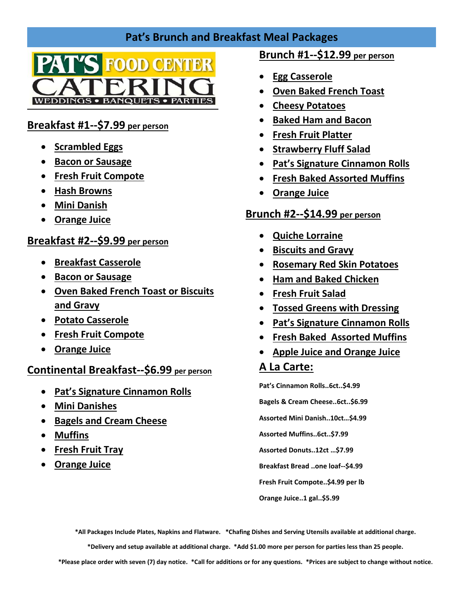# **Pat's Brunch and Breakfast Meal Packages**



### **Breakfast #1--\$7.99 per person**

- **•** Scrambled Eggs
- **Bacon or Sausage**
- **Fresh Fruit Compote**
- **Hash Browns**
- **Mini Danish**
- **Orange Juice**

#### **Breakfast #2--\$9.99 per person**

- **Breakfast Casserole**
- **Bacon or Sausage**
- **Oven Baked French Toast or Biscuits and Gravy**
- **Potato Casserole**
- **Fresh Fruit Compote**
- **Orange Juice**

### **Continental Breakfast--\$6.99 per person**

- **Pat's Signature Cinnamon Rolls**
- **Mini Danishes**
- **Bagels and Cream Cheese**
- **Muffins**
- **Fresh Fruit Tray**
- **Orange Juice**

### **Brunch #1--\$12.99 per person**

- **Egg Casserole**
- **Oven Baked French Toast**
- **Cheesy Potatoes**
- **Baked Ham and Bacon**
- **Fresh Fruit Platter**
- **•** Strawberry Fluff Salad
- **Pat's Signature Cinnamon Rolls**
- **Fresh Baked Assorted Muffins**
- **Orange Juice**

### **Brunch #2--\$14.99 per person**

- **Quiche Lorraine**
- **Biscuits and Gravy**
- **Rosemary Red Skin Potatoes**
- **Ham and Baked Chicken**
- **Fresh Fruit Salad**
- **Tossed Greens with Dressing**
- **Pat's Signature Cinnamon Rolls**
- **Fresh Baked Assorted Muffins**
- **Apple Juice and Orange Juice**

# **A La Carte:**

**Pat's Cinnamon Rolls..6ct..\$4.99 Bagels & Cream Cheese..6ct..\$6.99 Assorted Mini Danish..10ct…\$4.99 Assorted Muffins..6ct..\$7.99 Assorted Donuts..12ct …\$7.99 Breakfast Bread ..one loaf--\$4.99 Fresh Fruit Compote..\$4.99 per lb**

**Orange Juice..1 gal..\$5.99** 

**\*All Packages Include Plates, Napkins and Flatware. \*Chafing Dishes and Serving Utensils available at additional charge.**

**\*Delivery and setup available at additional charge. \*Add \$1.00 more per person for parties less than 25 people.**

**\*Please place order with seven (7) day notice. \*Call for additions or for any questions. \*Prices are subject to change without notice.**